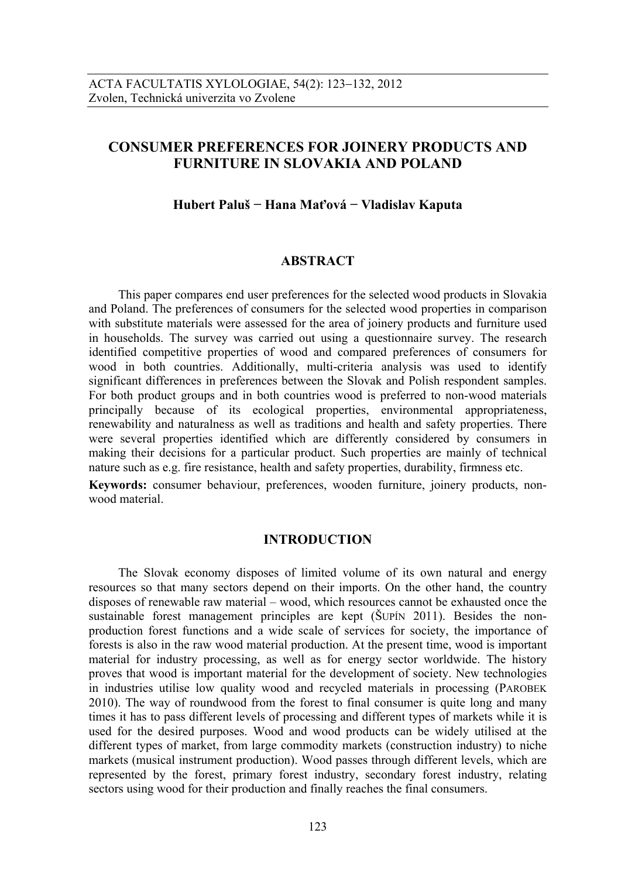# **CONSUMER PREFERENCES FOR JOINERY PRODUCTS AND FURNITURE IN SLOVAKIA AND POLAND**

# **Hubert Paluš − Hana Maťová − Vladislav Kaputa**

### **ABSTRACT**

This paper compares end user preferences for the selected wood products in Slovakia and Poland. The preferences of consumers for the selected wood properties in comparison with substitute materials were assessed for the area of joinery products and furniture used in households. The survey was carried out using a questionnaire survey. The research identified competitive properties of wood and compared preferences of consumers for wood in both countries. Additionally, multi-criteria analysis was used to identify significant differences in preferences between the Slovak and Polish respondent samples. For both product groups and in both countries wood is preferred to non-wood materials principally because of its ecological properties, environmental appropriateness, renewability and naturalness as well as traditions and health and safety properties. There were several properties identified which are differently considered by consumers in making their decisions for a particular product. Such properties are mainly of technical nature such as e.g. fire resistance, health and safety properties, durability, firmness etc.

**Keywords:** consumer behaviour, preferences, wooden furniture, joinery products, nonwood material.

### **INTRODUCTION**

The Slovak economy disposes of limited volume of its own natural and energy resources so that many sectors depend on their imports. On the other hand, the country disposes of renewable raw material – wood, which resources cannot be exhausted once the sustainable forest management principles are kept (ŠUPÍN 2011). Besides the nonproduction forest functions and a wide scale of services for society, the importance of forests is also in the raw wood material production. At the present time, wood is important material for industry processing, as well as for energy sector worldwide. The history proves that wood is important material for the development of society. New technologies in industries utilise low quality wood and recycled materials in processing (PAROBEK 2010). The way of roundwood from the forest to final consumer is quite long and many times it has to pass different levels of processing and different types of markets while it is used for the desired purposes. Wood and wood products can be widely utilised at the different types of market, from large commodity markets (construction industry) to niche markets (musical instrument production). Wood passes through different levels, which are represented by the forest, primary forest industry, secondary forest industry, relating sectors using wood for their production and finally reaches the final consumers.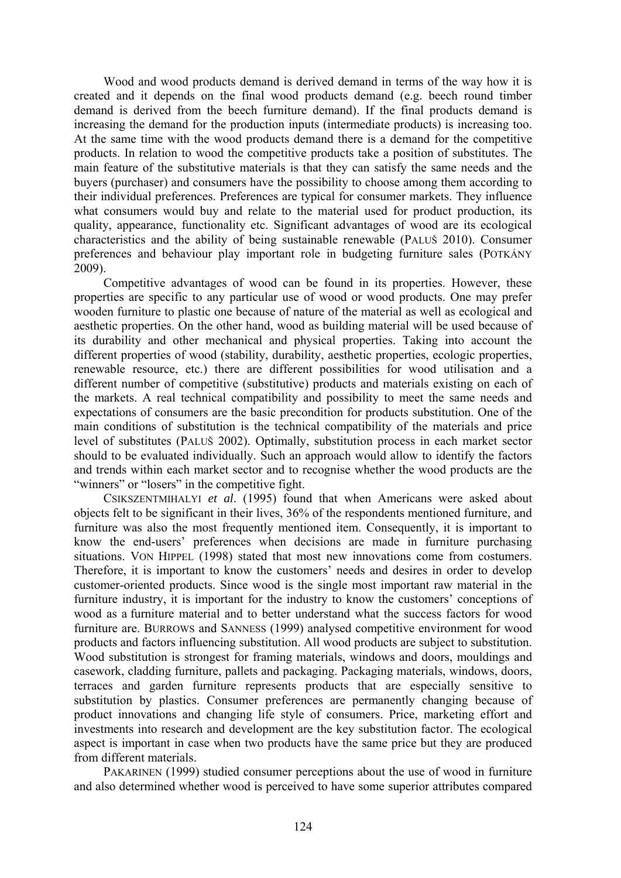Wood and wood products demand is derived demand in terms of the way how it is created and it depends on the final wood products demand (e.g. beech round timber demand is derived from the beech furniture demand). If the final products demand is increasing the demand for the production inputs (intermediate products) is increasing too. At the same time with the wood products demand there is a demand for the competitive products. In relation to wood the competitive products take a position of substitutes. The main feature of the substitutive materials is that they can satisfy the same needs and the buyers (purchaser) and consumers have the possibility to choose among them according to their individual preferences. Preferences are typical for consumer markets. They influence what consumers would buy and relate to the material used for product production, its quality, appearance, functionality etc. Significant advantages of wood are its ecological characteristics and the ability of being sustainable renewable (PALUŠ 2010). Consumer preferences and behaviour play important role in budgeting furniture sales (POTKÁNY 2009).

Competitive advantages of wood can be found in its properties. However, these properties are specific to any particular use of wood or wood products. One may prefer wooden furniture to plastic one because of nature of the material as well as ecological and aesthetic properties. On the other hand, wood as building material will be used because of its durability and other mechanical and physical properties. Taking into account the different properties of wood (stability, durability, aesthetic properties, ecologic properties, renewable resource, etc.) there are different possibilities for wood utilisation and a different number of competitive (substitutive) products and materials existing on each of the markets. A real technical compatibility and possibility to meet the same needs and expectations of consumers are the basic precondition for products substitution. One of the main conditions of substitution is the technical compatibility of the materials and price level of substitutes (PALUŠ 2002). Optimally, substitution process in each market sector should to be evaluated individually. Such an approach would allow to identify the factors and trends within each market sector and to recognise whether the wood products are the "winners" or "losers" in the competitive fight.

CSIKSZENTMIHALYI *et al*. (1995) found that when Americans were asked about objects felt to be significant in their lives, 36% of the respondents mentioned furniture, and furniture was also the most frequently mentioned item. Consequently, it is important to know the end-users' preferences when decisions are made in furniture purchasing situations. VON HIPPEL (1998) stated that most new innovations come from costumers. Therefore, it is important to know the customers' needs and desires in order to develop customer-oriented products. Since wood is the single most important raw material in the furniture industry, it is important for the industry to know the customers' conceptions of wood as a furniture material and to better understand what the success factors for wood furniture are. BURROWS and SANNESS (1999) analysed competitive environment for wood products and factors influencing substitution. All wood products are subject to substitution. Wood substitution is strongest for framing materials, windows and doors, mouldings and casework, cladding furniture, pallets and packaging. Packaging materials, windows, doors, terraces and garden furniture represents products that are especially sensitive to substitution by plastics. Consumer preferences are permanently changing because of product innovations and changing life style of consumers. Price, marketing effort and investments into research and development are the key substitution factor. The ecological aspect is important in case when two products have the same price but they are produced from different materials.

PAKARINEN (1999) studied consumer perceptions about the use of wood in furniture and also determined whether wood is perceived to have some superior attributes compared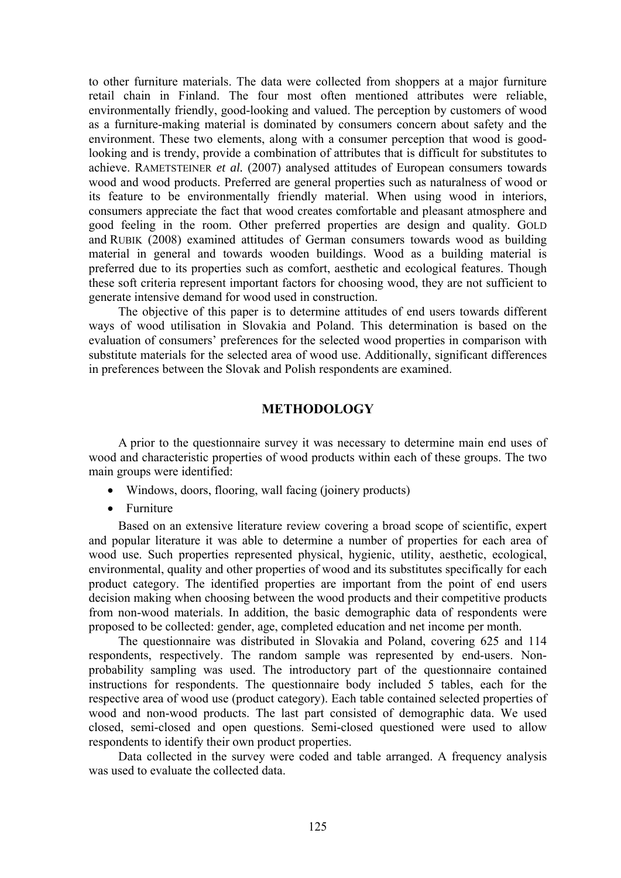to other furniture materials. The data were collected from shoppers at a major furniture retail chain in Finland. The four most often mentioned attributes were reliable, environmentally friendly, good-looking and valued. The perception by customers of wood as a furniture-making material is dominated by consumers concern about safety and the environment. These two elements, along with a consumer perception that wood is goodlooking and is trendy, provide a combination of attributes that is difficult for substitutes to achieve. RAMETSTEINER *et al.* (2007) analysed attitudes of European consumers towards wood and wood products. Preferred are general properties such as naturalness of wood or its feature to be environmentally friendly material. When using wood in interiors, consumers appreciate the fact that wood creates comfortable and pleasant atmosphere and good feeling in the room. Other preferred properties are design and quality. GOLD and RUBIK (2008) examined attitudes of German consumers towards wood as building material in general and towards wooden buildings. Wood as a building material is preferred due to its properties such as comfort, aesthetic and ecological features. Though these soft criteria represent important factors for choosing wood, they are not sufficient to generate intensive demand for wood used in construction.

The objective of this paper is to determine attitudes of end users towards different ways of wood utilisation in Slovakia and Poland. This determination is based on the evaluation of consumers' preferences for the selected wood properties in comparison with substitute materials for the selected area of wood use. Additionally, significant differences in preferences between the Slovak and Polish respondents are examined.

# **METHODOLOGY**

A prior to the questionnaire survey it was necessary to determine main end uses of wood and characteristic properties of wood products within each of these groups. The two main groups were identified:

- Windows, doors, flooring, wall facing (joinery products)
- Furniture

Based on an extensive literature review covering a broad scope of scientific, expert and popular literature it was able to determine a number of properties for each area of wood use. Such properties represented physical, hygienic, utility, aesthetic, ecological, environmental, quality and other properties of wood and its substitutes specifically for each product category. The identified properties are important from the point of end users decision making when choosing between the wood products and their competitive products from non-wood materials. In addition, the basic demographic data of respondents were proposed to be collected: gender, age, completed education and net income per month.

The questionnaire was distributed in Slovakia and Poland, covering 625 and 114 respondents, respectively. The random sample was represented by end-users. Nonprobability sampling was used. The introductory part of the questionnaire contained instructions for respondents. The questionnaire body included 5 tables, each for the respective area of wood use (product category). Each table contained selected properties of wood and non-wood products. The last part consisted of demographic data. We used closed, semi-closed and open questions. Semi-closed questioned were used to allow respondents to identify their own product properties.

Data collected in the survey were coded and table arranged. A frequency analysis was used to evaluate the collected data.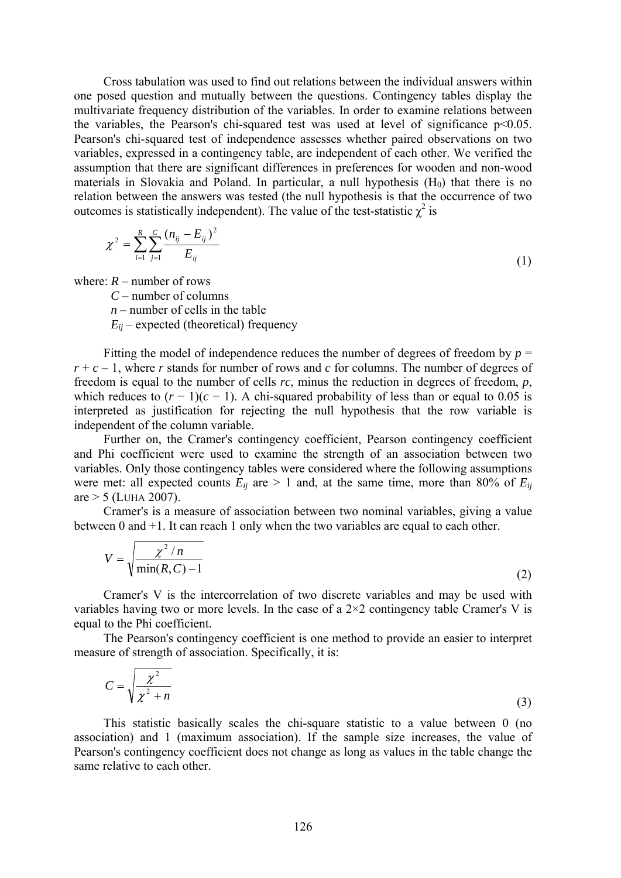Cross tabulation was used to find out relations between the individual answers within one posed question and mutually between the questions. Contingency tables display the multivariate frequency distribution of the variables. In order to examine relations between the variables, the Pearson's chi-squared test was used at level of significance  $p<0.05$ . Pearson's chi-squared test of independence assesses whether paired observations on two variables, expressed in a contingency table, are independent of each other. We verified the assumption that there are significant differences in preferences for wooden and non-wood materials in Slovakia and Poland. In particular, a null hypothesis  $(H<sub>0</sub>)$  that there is no relation between the answers was tested (the null hypothesis is that the occurrence of two outcomes is statistically independent). The value of the test-statistic  $\chi^2$  is

$$
\chi^2 = \sum_{i=1}^R \sum_{j=1}^C \frac{(n_{ij} - E_{ij})^2}{E_{ij}}
$$
(1)

where:  $R$  – number of rows

*C* – number of columns

 $n$  – number of cells in the table

 $E_{ij}$  – expected (theoretical) frequency

Fitting the model of independence reduces the number of degrees of freedom by  $p =$  $r + c - 1$ , where *r* stands for number of rows and *c* for columns. The number of degrees of freedom is equal to the number of cells *rc*, minus the reduction in degrees of freedom, *p*, which reduces to  $(r - 1)(c - 1)$ . A chi-squared probability of less than or equal to 0.05 is interpreted as justification for rejecting the null hypothesis that the row variable is independent of the column variable.

Further on, the Cramer's contingency coefficient, Pearson contingency coefficient and Phi coefficient were used to examine the strength of an association between two variables. Only those contingency tables were considered where the following assumptions were met: all expected counts  $E_{ij}$  are  $> 1$  and, at the same time, more than 80% of  $E_{ij}$  $are > 5$  (LUHA 2007).

Cramer's is a measure of association between two nominal variables, giving a value between 0 and +1. It can reach 1 only when the two variables are equal to each other.

$$
V = \sqrt{\frac{\chi^2 / n}{\min(R, C) - 1}}
$$
 (2)

Cramer's V is the intercorrelation of two discrete variables and may be used with variables having two or more levels. In the case of a  $2\times 2$  contingency table Cramer's V is equal to the Phi coefficient.

The Pearson's contingency coefficient is one method to provide an easier to interpret measure of strength of association. Specifically, it is:

$$
C = \sqrt{\frac{\chi^2}{\chi^2 + n}}
$$
 (3)

This statistic basically scales the chi-square statistic to a value between 0 (no association) and 1 (maximum association). If the sample size increases, the value of Pearson's contingency coefficient does not change as long as values in the table change the same relative to each other.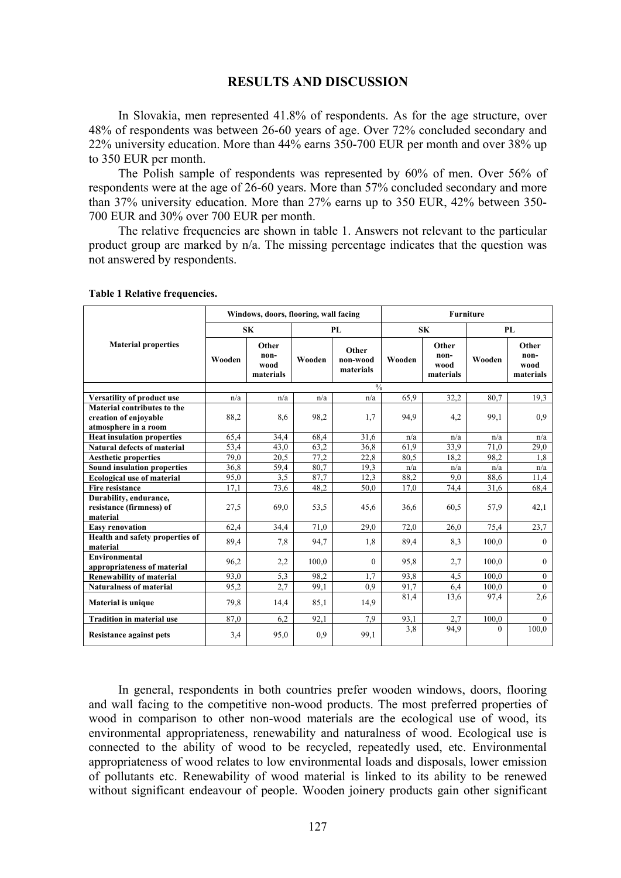#### **RESULTS AND DISCUSSION**

In Slovakia, men represented 41.8% of respondents. As for the age structure, over 48% of respondents was between 26-60 years of age. Over 72% concluded secondary and 22% university education. More than 44% earns 350-700 EUR per month and over 38% up to 350 EUR per month.

The Polish sample of respondents was represented by 60% of men. Over 56% of respondents were at the age of 26-60 years. More than 57% concluded secondary and more than 37% university education. More than 27% earns up to 350 EUR, 42% between 350- 700 EUR and 30% over 700 EUR per month.

The relative frequencies are shown in table 1. Answers not relevant to the particular product group are marked by n/a. The missing percentage indicates that the question was not answered by respondents.

|                                                                | Windows, doors, flooring, wall facing |                                    |        |                                | <b>Furniture</b> |                                    |          |                                    |
|----------------------------------------------------------------|---------------------------------------|------------------------------------|--------|--------------------------------|------------------|------------------------------------|----------|------------------------------------|
|                                                                | SK                                    |                                    | PL     |                                | <b>SK</b>        |                                    | PL       |                                    |
| <b>Material properties</b>                                     | Wooden                                | Other<br>non-<br>wood<br>materials | Wooden | Other<br>non-wood<br>materials | Wooden           | Other<br>non-<br>wood<br>materials | Wooden   | Other<br>non-<br>wood<br>materials |
|                                                                | 0/2                                   |                                    |        |                                |                  |                                    |          |                                    |
| <b>Versatility of product use</b>                              | n/a                                   | n/a                                | n/a    | n/a                            | 65.9             | 32,2                               | 80,7     | 19,3                               |
| Material contributes to the                                    |                                       |                                    |        |                                |                  |                                    |          |                                    |
| creation of enjoyable                                          | 88,2                                  | 8,6                                | 98,2   | 1,7                            | 94.9             | 4,2                                | 99,1     | 0.9                                |
| atmosphere in a room                                           |                                       |                                    |        |                                |                  |                                    |          |                                    |
| <b>Heat insulation properties</b>                              | 65,4                                  | 34,4                               | 68,4   | 31,6                           | n/a              | n/a                                | n/a      | n/a                                |
| <b>Natural defects of material</b>                             | 53,4                                  | 43,0                               | 63,2   | 36,8                           | 61,9             | 33.9                               | 71,0     | 29,0                               |
| <b>Aesthetic properties</b>                                    | 79,0                                  | 20,5                               | 77,2   | 22,8                           | 80.5             | 18,2                               | 98,2     | 1,8                                |
| <b>Sound insulation properties</b>                             | 36,8                                  | 59,4                               | 80,7   | 19,3                           | n/a              | n/a                                | n/a      | n/a                                |
| <b>Ecological use of material</b>                              | 95,0                                  | 3.5                                | 87,7   | 12.3                           | 88,2             | 9.0                                | 88,6     | 11,4                               |
| <b>Fire resistance</b>                                         | 17,1                                  | 73,6                               | 48,2   | 50,0                           | 17,0             | 74,4                               | 31,6     | 68,4                               |
| Durability, endurance,<br>resistance (firmness) of<br>material | 27,5                                  | 69,0                               | 53,5   | 45,6                           | 36,6             | 60.5                               | 57,9     | 42,1                               |
| <b>Easy renovation</b>                                         | 62,4                                  | 34,4                               | 71,0   | 29,0                           | 72,0             | 26,0                               | 75,4     | 23,7                               |
| Health and safety properties of<br>material                    | 89,4                                  | 7,8                                | 94,7   | 1,8                            | 89,4             | 8.3                                | 100,0    | $\mathbf{0}$                       |
| <b>Environmental</b><br>appropriateness of material            | 96,2                                  | 2,2                                | 100,0  | $\theta$                       | 95,8             | 2.7                                | 100,0    | $\theta$                           |
| <b>Renewability of material</b>                                | 93,0                                  | 5,3                                | 98,2   | 1,7                            | 93,8             | 4,5                                | 100,0    | $\overline{0}$                     |
| <b>Naturalness of material</b>                                 | 95,2                                  | 2.7                                | 99.1   | 0.9                            | 91,7             | 6,4                                | 100,0    | $\theta$                           |
| <b>Material is unique</b>                                      | 79.8                                  | 14,4                               | 85,1   | 14,9                           | 81,4             | 13,6                               | 97,4     | 2,6                                |
| <b>Tradition in material use</b>                               | 87,0                                  | 6,2                                | 92.1   | 7.9                            | 93,1             | 2.7                                | 100,0    | $\Omega$                           |
| <b>Resistance against pets</b>                                 | 3,4                                   | 95,0                               | 0.9    | 99,1                           | 3,8              | 94.9                               | $\Omega$ | 100,0                              |

**Table 1 Relative frequencies.** 

In general, respondents in both countries prefer wooden windows, doors, flooring and wall facing to the competitive non-wood products. The most preferred properties of wood in comparison to other non-wood materials are the ecological use of wood, its environmental appropriateness, renewability and naturalness of wood. Ecological use is connected to the ability of wood to be recycled, repeatedly used, etc. Environmental appropriateness of wood relates to low environmental loads and disposals, lower emission of pollutants etc. Renewability of wood material is linked to its ability to be renewed without significant endeavour of people. Wooden joinery products gain other significant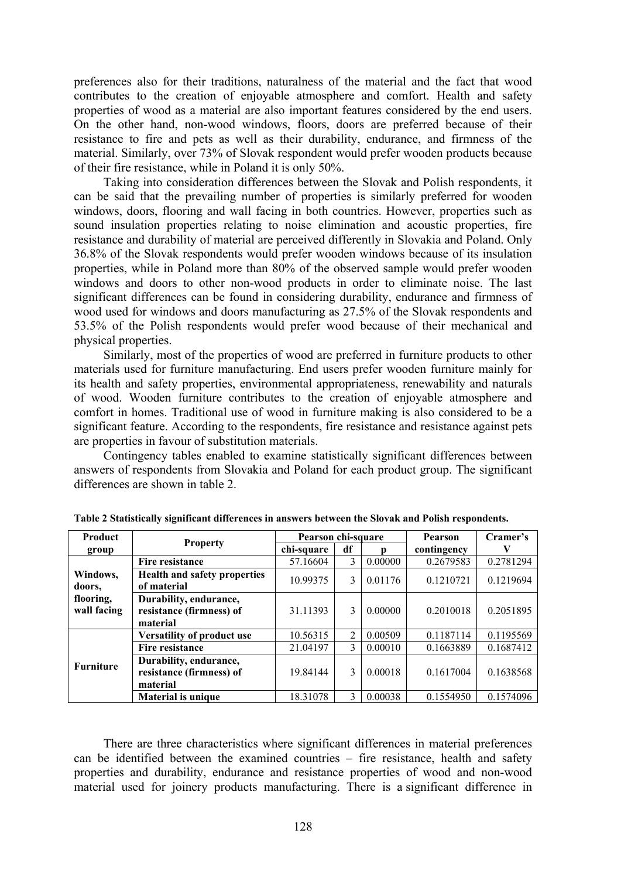preferences also for their traditions, naturalness of the material and the fact that wood contributes to the creation of enjoyable atmosphere and comfort. Health and safety properties of wood as a material are also important features considered by the end users. On the other hand, non-wood windows, floors, doors are preferred because of their resistance to fire and pets as well as their durability, endurance, and firmness of the material. Similarly, over 73% of Slovak respondent would prefer wooden products because of their fire resistance, while in Poland it is only 50%.

Taking into consideration differences between the Slovak and Polish respondents, it can be said that the prevailing number of properties is similarly preferred for wooden windows, doors, flooring and wall facing in both countries. However, properties such as sound insulation properties relating to noise elimination and acoustic properties, fire resistance and durability of material are perceived differently in Slovakia and Poland. Only 36.8% of the Slovak respondents would prefer wooden windows because of its insulation properties, while in Poland more than 80% of the observed sample would prefer wooden windows and doors to other non-wood products in order to eliminate noise. The last significant differences can be found in considering durability, endurance and firmness of wood used for windows and doors manufacturing as 27.5% of the Slovak respondents and 53.5% of the Polish respondents would prefer wood because of their mechanical and physical properties.

Similarly, most of the properties of wood are preferred in furniture products to other materials used for furniture manufacturing. End users prefer wooden furniture mainly for its health and safety properties, environmental appropriateness, renewability and naturals of wood. Wooden furniture contributes to the creation of enjoyable atmosphere and comfort in homes. Traditional use of wood in furniture making is also considered to be a significant feature. According to the respondents, fire resistance and resistance against pets are properties in favour of substitution materials.

Contingency tables enabled to examine statistically significant differences between answers of respondents from Slovakia and Poland for each product group. The significant differences are shown in table 2.

| <b>Product</b>     |                                     | Pearson chi-square |    |         | <b>Pearson</b> | Cramer's  |
|--------------------|-------------------------------------|--------------------|----|---------|----------------|-----------|
| group              | <b>Property</b>                     | chi-square         | df | n       | contingency    | V         |
| Windows,<br>doors. | Fire resistance                     | 57.16604           | 3  | 0.00000 | 0.2679583      | 0.2781294 |
|                    | <b>Health and safety properties</b> | 10.99375           | 3  | 0.01176 | 0.1210721      | 0.1219694 |
|                    | of material                         |                    |    |         |                |           |
| flooring,          | Durability, endurance,              |                    |    |         |                |           |
| wall facing        | resistance (firmness) of            | 31.11393           | 3  | 0.00000 | 0.2010018      | 0.2051895 |
|                    | material                            |                    |    |         |                |           |
| <b>Furniture</b>   | <b>Versatility of product use</b>   | 10.56315           | 2  | 0.00509 | 0.1187114      | 0.1195569 |
|                    | Fire resistance                     | 21.04197           | 3  | 0.00010 | 0.1663889      | 0.1687412 |
|                    | Durability, endurance,              |                    |    |         |                |           |
|                    | resistance (firmness) of            | 19.84144           | 3  | 0.00018 | 0.1617004      | 0.1638568 |
|                    | material                            |                    |    |         |                |           |
|                    | <b>Material is unique</b>           | 18.31078           | 3  | 0.00038 | 0.1554950      | 0.1574096 |

**Table 2 Statistically significant differences in answers between the Slovak and Polish respondents.** 

There are three characteristics where significant differences in material preferences can be identified between the examined countries – fire resistance, health and safety properties and durability, endurance and resistance properties of wood and non-wood material used for joinery products manufacturing. There is a significant difference in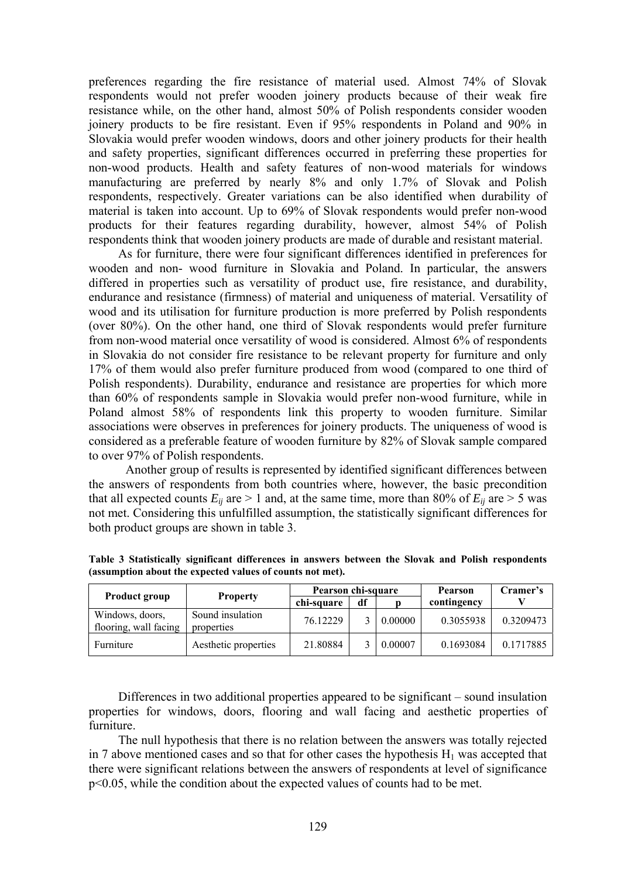preferences regarding the fire resistance of material used. Almost 74% of Slovak respondents would not prefer wooden joinery products because of their weak fire resistance while, on the other hand, almost 50% of Polish respondents consider wooden joinery products to be fire resistant. Even if 95% respondents in Poland and 90% in Slovakia would prefer wooden windows, doors and other joinery products for their health and safety properties, significant differences occurred in preferring these properties for non-wood products. Health and safety features of non-wood materials for windows manufacturing are preferred by nearly 8% and only 1.7% of Slovak and Polish respondents, respectively. Greater variations can be also identified when durability of material is taken into account. Up to 69% of Slovak respondents would prefer non-wood products for their features regarding durability, however, almost 54% of Polish respondents think that wooden joinery products are made of durable and resistant material.

As for furniture, there were four significant differences identified in preferences for wooden and non- wood furniture in Slovakia and Poland. In particular, the answers differed in properties such as versatility of product use, fire resistance, and durability, endurance and resistance (firmness) of material and uniqueness of material. Versatility of wood and its utilisation for furniture production is more preferred by Polish respondents (over 80%). On the other hand, one third of Slovak respondents would prefer furniture from non-wood material once versatility of wood is considered. Almost 6% of respondents in Slovakia do not consider fire resistance to be relevant property for furniture and only 17% of them would also prefer furniture produced from wood (compared to one third of Polish respondents). Durability, endurance and resistance are properties for which more than 60% of respondents sample in Slovakia would prefer non-wood furniture, while in Poland almost 58% of respondents link this property to wooden furniture. Similar associations were observes in preferences for joinery products. The uniqueness of wood is considered as a preferable feature of wooden furniture by 82% of Slovak sample compared to over 97% of Polish respondents.

 Another group of results is represented by identified significant differences between the answers of respondents from both countries where, however, the basic precondition that all expected counts  $E_{ii}$  are  $> 1$  and, at the same time, more than 80% of  $E_{ii}$  are  $> 5$  was not met. Considering this unfulfilled assumption, the statistically significant differences for both product groups are shown in table 3.

|                                          | <b>Property</b>                | Pearson chi-square |    |         | Pearson     | Cramer's  |
|------------------------------------------|--------------------------------|--------------------|----|---------|-------------|-----------|
| <b>Product group</b>                     |                                | chi-square         | df |         | contingency |           |
| Windows, doors,<br>flooring, wall facing | Sound insulation<br>properties | 76.12229           |    | 0.00000 | 0.3055938   | 0.3209473 |
| Furniture                                | Aesthetic properties           | 21.80884           |    | 0.00007 | 0.1693084   | 0.1717885 |

**Table 3 Statistically significant differences in answers between the Slovak and Polish respondents (assumption about the expected values of counts not met).** 

Differences in two additional properties appeared to be significant – sound insulation properties for windows, doors, flooring and wall facing and aesthetic properties of furniture.

The null hypothesis that there is no relation between the answers was totally rejected in 7 above mentioned cases and so that for other cases the hypothesis  $H_1$  was accepted that there were significant relations between the answers of respondents at level of significance p<0.05, while the condition about the expected values of counts had to be met.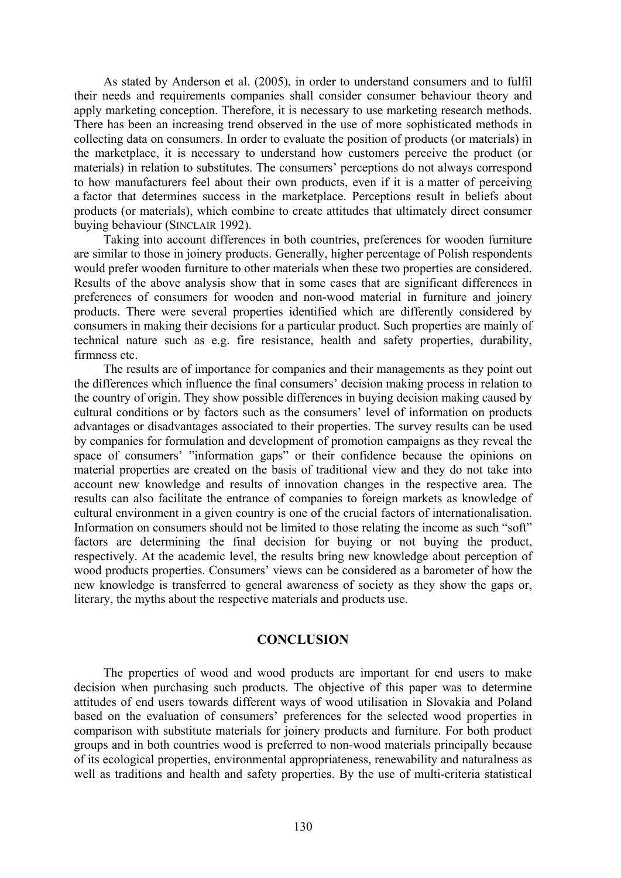As stated by Anderson et al. (2005), in order to understand consumers and to fulfil their needs and requirements companies shall consider consumer behaviour theory and apply marketing conception. Therefore, it is necessary to use marketing research methods. There has been an increasing trend observed in the use of more sophisticated methods in collecting data on consumers. In order to evaluate the position of products (or materials) in the marketplace, it is necessary to understand how customers perceive the product (or materials) in relation to substitutes. The consumers' perceptions do not always correspond to how manufacturers feel about their own products, even if it is a matter of perceiving a factor that determines success in the marketplace. Perceptions result in beliefs about products (or materials), which combine to create attitudes that ultimately direct consumer buying behaviour (SINCLAIR 1992).

Taking into account differences in both countries, preferences for wooden furniture are similar to those in joinery products. Generally, higher percentage of Polish respondents would prefer wooden furniture to other materials when these two properties are considered. Results of the above analysis show that in some cases that are significant differences in preferences of consumers for wooden and non-wood material in furniture and joinery products. There were several properties identified which are differently considered by consumers in making their decisions for a particular product. Such properties are mainly of technical nature such as e.g. fire resistance, health and safety properties, durability, firmness etc.

The results are of importance for companies and their managements as they point out the differences which influence the final consumers' decision making process in relation to the country of origin. They show possible differences in buying decision making caused by cultural conditions or by factors such as the consumers' level of information on products advantages or disadvantages associated to their properties. The survey results can be used by companies for formulation and development of promotion campaigns as they reveal the space of consumers' "information gaps" or their confidence because the opinions on material properties are created on the basis of traditional view and they do not take into account new knowledge and results of innovation changes in the respective area. The results can also facilitate the entrance of companies to foreign markets as knowledge of cultural environment in a given country is one of the crucial factors of internationalisation. Information on consumers should not be limited to those relating the income as such "soft" factors are determining the final decision for buying or not buying the product, respectively. At the academic level, the results bring new knowledge about perception of wood products properties. Consumers' views can be considered as a barometer of how the new knowledge is transferred to general awareness of society as they show the gaps or, literary, the myths about the respective materials and products use.

### **CONCLUSION**

The properties of wood and wood products are important for end users to make decision when purchasing such products. The objective of this paper was to determine attitudes of end users towards different ways of wood utilisation in Slovakia and Poland based on the evaluation of consumers' preferences for the selected wood properties in comparison with substitute materials for joinery products and furniture. For both product groups and in both countries wood is preferred to non-wood materials principally because of its ecological properties, environmental appropriateness, renewability and naturalness as well as traditions and health and safety properties. By the use of multi-criteria statistical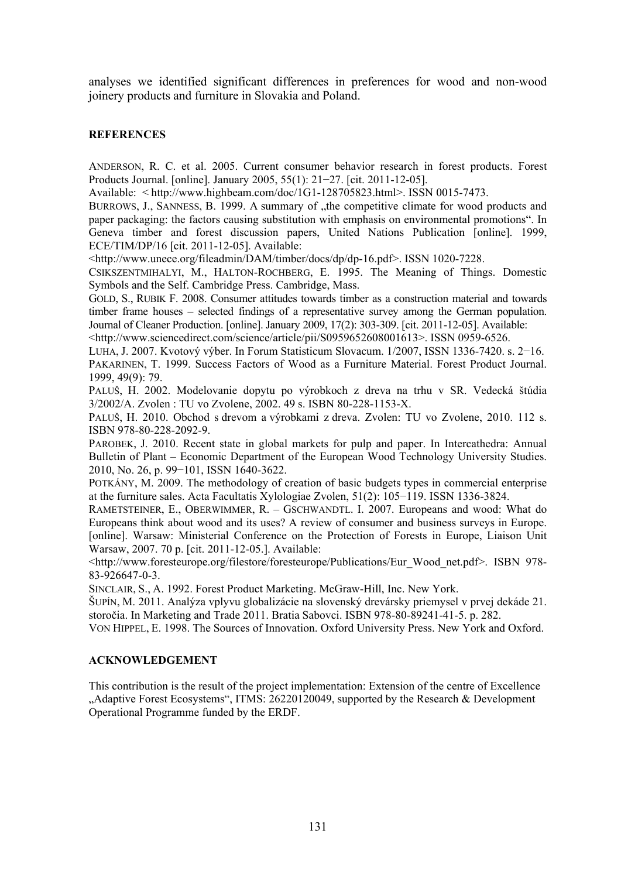analyses we identified significant differences in preferences for wood and non-wood joinery products and furniture in Slovakia and Poland.

### **REFERENCES**

ANDERSON, R. C. et al. 2005. Current consumer behavior research in forest products. Forest Products Journal. [online]. January 2005, 55(1): 21−27. [cit. 2011-12-05].

Available:  $\lt$  http://www.highbeam.com/doc/1G1-128705823.html>. ISSN 0015-7473.

BURROWS, J., SANNESS, B. 1999. A summary of "the competitive climate for wood products and paper packaging: the factors causing substitution with emphasis on environmental promotions". In Geneva timber and forest discussion papers, United Nations Publication [online]. 1999, ECE/TIM/DP/16 [cit. 2011-12-05]. Available:

<http://www.unece.org/fileadmin/DAM/timber/docs/dp/dp-16.pdf>. ISSN 1020-7228.

CSIKSZENTMIHALYI, M., HALTON-ROCHBERG, E. 1995. The Meaning of Things. Domestic Symbols and the Self. Cambridge Press. Cambridge, Mass.

GOLD, S., RUBIK F. 2008. Consumer attitudes towards timber as a construction material and towards timber frame houses – selected findings of a representative survey among the German population. Journal of Cleaner Production. [online]. January 2009, 17(2): 303-309. [cit. 2011-12-05]. Available:

<http://www.sciencedirect.com/science/article/pii/S0959652608001613>. ISSN 0959-6526.

LUHA, J. 2007. Kvotový výber. In Forum Statisticum Slovacum. 1/2007, ISSN 1336-7420. s. 2−16. PAKARINEN, T. 1999. Success Factors of Wood as a Furniture Material. Forest Product Journal. 1999, 49(9): 79.

PALUŠ, H. 2002. Modelovanie dopytu po výrobkoch z dreva na trhu v SR. Vedecká štúdia 3/2002/A. Zvolen : TU vo Zvolene, 2002. 49 s. ISBN 80-228-1153-X.

PALUŠ, H. 2010. Obchod s drevom a výrobkami z dreva. Zvolen: TU vo Zvolene, 2010. 112 s. ISBN 978-80-228-2092-9.

PAROBEK, J. 2010. Recent state in global markets for pulp and paper. In Intercathedra: Annual Bulletin of Plant – Economic Department of the European Wood Technology University Studies. 2010, No. 26, p. 99−101, ISSN 1640-3622.

POTKÁNY, M. 2009. The methodology of creation of basic budgets types in commercial enterprise at the furniture sales. Acta Facultatis Xylologiae Zvolen, 51(2): 105−119. ISSN 1336-3824.

RAMETSTEINER, E., OBERWIMMER, R. – GSCHWANDTL. I. 2007. Europeans and wood: What do Europeans think about wood and its uses? A review of consumer and business surveys in Europe. [online]. Warsaw: Ministerial Conference on the Protection of Forests in Europe, Liaison Unit Warsaw, 2007. 70 p. [cit. 2011-12-05.]. Available:

<http://www.foresteurope.org/filestore/foresteurope/Publications/Eur\_Wood\_net.pdf>. ISBN 978- 83-926647-0-3.

SINCLAIR, S., A. 1992. Forest Product Marketing. McGraw-Hill, Inc. New York.

ŠUPÍN, M. 2011. Analýza vplyvu globalizácie na slovenský drevársky priemysel v prvej dekáde 21. storočia. In Marketing and Trade 2011. Bratia Sabovci. ISBN 978-80-89241-41-5. p. 282.

VON HIPPEL, E. 1998. The Sources of Innovation. Oxford University Press. New York and Oxford.

#### **ACKNOWLEDGEMENT**

This contribution is the result of the project implementation: Extension of the centre of Excellence "Adaptive Forest Ecosystems", ITMS: 26220120049, supported by the Research & Development Operational Programme funded by the ERDF.